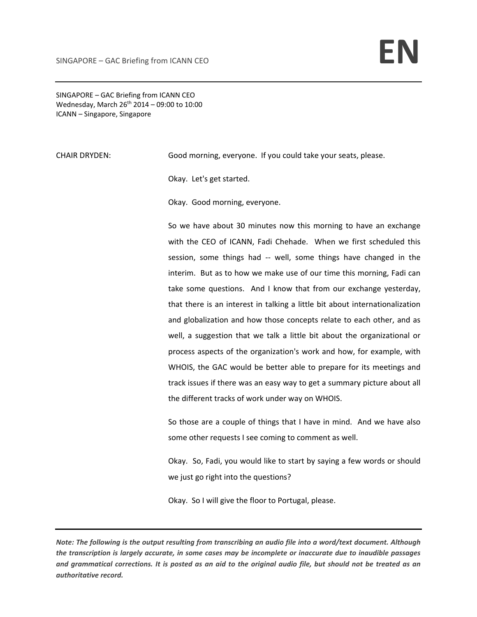SINGAPORE – GAC Briefing from ICANN CEO Wednesday, March  $26^{th}$  2014 – 09:00 to 10:00 ICANN – Singapore, Singapore

CHAIR DRYDEN: Good morning, everyone. If you could take your seats, please.

Okay. Let's get started.

Okay. Good morning, everyone.

So we have about 30 minutes now this morning to have an exchange with the CEO of ICANN, Fadi Chehade. When we first scheduled this session, some things had -- well, some things have changed in the interim. But as to how we make use of our time this morning, Fadi can take some questions. And I know that from our exchange yesterday, that there is an interest in talking a little bit about internationalization and globalization and how those concepts relate to each other, and as well, a suggestion that we talk a little bit about the organizational or process aspects of the organization's work and how, for example, with WHOIS, the GAC would be better able to prepare for its meetings and track issues if there was an easy way to get a summary picture about all the different tracks of work under way on WHOIS.

So those are a couple of things that I have in mind. And we have also some other requests I see coming to comment as well.

Okay. So, Fadi, you would like to start by saying a few words or should we just go right into the questions?

Okay. So I will give the floor to Portugal, please.

Note: The following is the output resulting from transcribing an audio file into a word/text document. Although the transcription is largely accurate, in some cases may be incomplete or inaccurate due to inaudible passages and grammatical corrections. It is posted as an aid to the original audio file, but should not be treated as an *authoritative record.*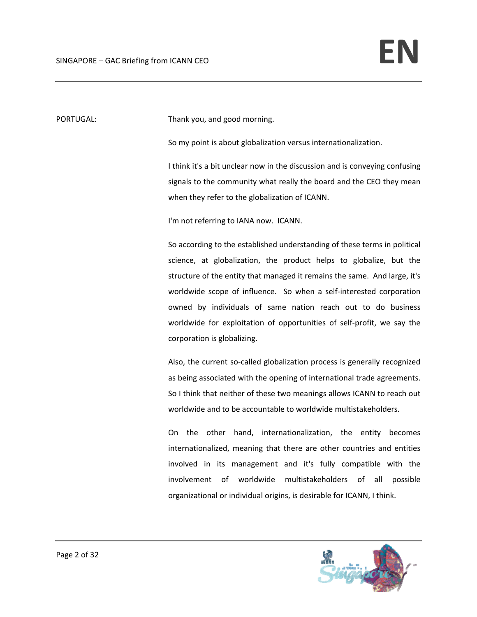PORTUGAL: Thank you, and good morning.

So my point is about globalization versus internationalization.

I think it's a bit unclear now in the discussion and is conveying confusing signals to the community what really the board and the CEO they mean when they refer to the globalization of ICANN.

I'm not referring to IANA now. ICANN.

So according to the established understanding of these terms in political science, at globalization, the product helps to globalize, but the structure of the entity that managed it remains the same. And large, it's worldwide scope of influence. So when a self-interested corporation owned by individuals of same nation reach out to do business worldwide for exploitation of opportunities of self‐profit, we say the corporation is globalizing.

Also, the current so-called globalization process is generally recognized as being associated with the opening of international trade agreements. So I think that neither of these two meanings allows ICANN to reach out worldwide and to be accountable to worldwide multistakeholders.

On the other hand, internationalization, the entity becomes internationalized, meaning that there are other countries and entities involved in its management and it's fully compatible with the involvement of worldwide multistakeholders of all possible organizational or individual origins, is desirable for ICANN, I think.

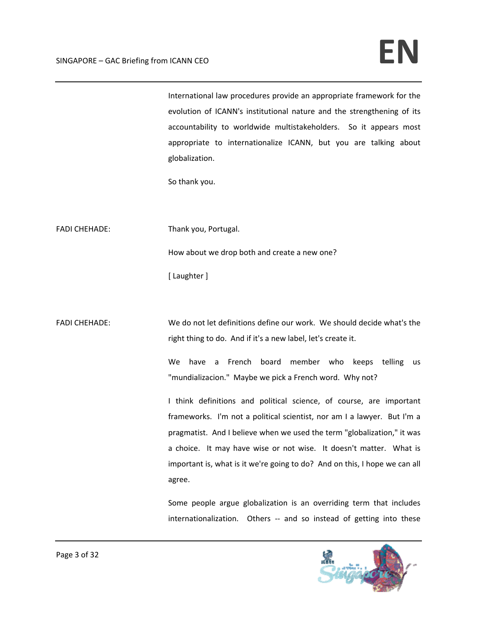International law procedures provide an appropriate framework for the evolution of ICANN's institutional nature and the strengthening of its accountability to worldwide multistakeholders. So it appears most appropriate to internationalize ICANN, but you are talking about globalization.

So thank you.

FADI CHEHADE: Thank you, Portugal.

How about we drop both and create a new one?

[ Laughter ]

FADI CHEHADE: We do not let definitions define our work. We should decide what's the right thing to do. And if it's a new label, let's create it.

> We have a French board member who keeps telling us "mundializacion." Maybe we pick a French word. Why not?

> I think definitions and political science, of course, are important frameworks. I'm not a political scientist, nor am I a lawyer. But I'm a pragmatist. And I believe when we used the term "globalization," it was a choice. It may have wise or not wise. It doesn't matter. What is important is, what is it we're going to do? And on this, I hope we can all agree.

> Some people argue globalization is an overriding term that includes internationalization. Others -- and so instead of getting into these

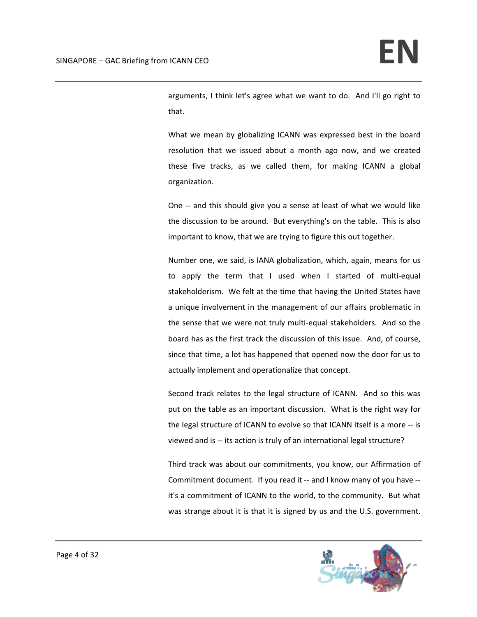arguments, I think let's agree what we want to do. And I'll go right to that.

What we mean by globalizing ICANN was expressed best in the board resolution that we issued about a month ago now, and we created these five tracks, as we called them, for making ICANN a global organization.

One -- and this should give you a sense at least of what we would like the discussion to be around. But everything's on the table. This is also important to know, that we are trying to figure this out together.

Number one, we said, is IANA globalization, which, again, means for us to apply the term that I used when I started of multi‐equal stakeholderism. We felt at the time that having the United States have a unique involvement in the management of our affairs problematic in the sense that we were not truly multi‐equal stakeholders. And so the board has as the first track the discussion of this issue. And, of course, since that time, a lot has happened that opened now the door for us to actually implement and operationalize that concept.

Second track relates to the legal structure of ICANN. And so this was put on the table as an important discussion. What is the right way for the legal structure of ICANN to evolve so that ICANN itself is a more ‐‐ is viewed and is ‐‐ its action is truly of an international legal structure?

Third track was about our commitments, you know, our Affirmation of Commitment document. If you read it ‐‐ and I know many of you have ‐‐ it's a commitment of ICANN to the world, to the community. But what was strange about it is that it is signed by us and the U.S. government.

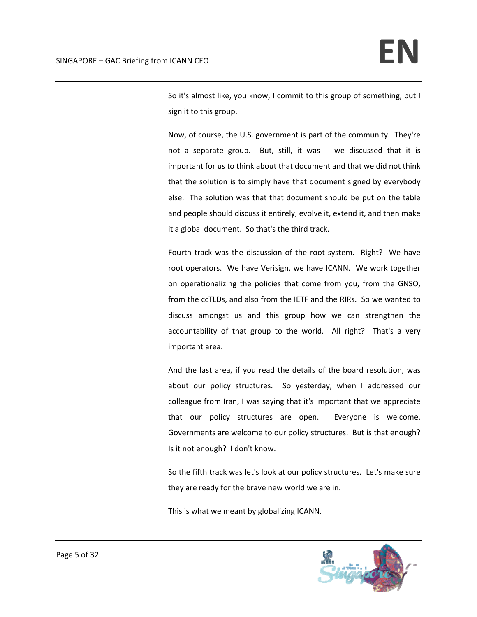So it's almost like, you know, I commit to this group of something, but I sign it to this group.

Now, of course, the U.S. government is part of the community. They're not a separate group. But, still, it was -- we discussed that it is important for us to think about that document and that we did not think that the solution is to simply have that document signed by everybody else. The solution was that that document should be put on the table and people should discuss it entirely, evolve it, extend it, and then make it a global document. So that's the third track.

Fourth track was the discussion of the root system. Right? We have root operators. We have Verisign, we have ICANN. We work together on operationalizing the policies that come from you, from the GNSO, from the ccTLDs, and also from the IETF and the RIRs. So we wanted to discuss amongst us and this group how we can strengthen the accountability of that group to the world. All right? That's a very important area.

And the last area, if you read the details of the board resolution, was about our policy structures. So yesterday, when I addressed our colleague from Iran, I was saying that it's important that we appreciate that our policy structures are open. Everyone is welcome. Governments are welcome to our policy structures. But is that enough? Is it not enough? I don't know.

So the fifth track was let's look at our policy structures. Let's make sure they are ready for the brave new world we are in.

This is what we meant by globalizing ICANN.

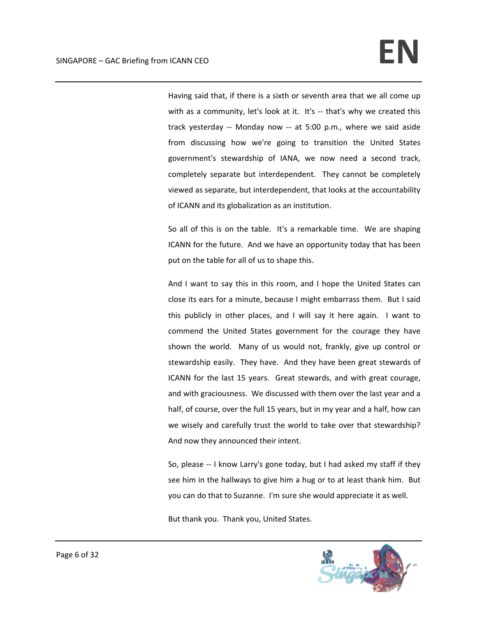Having said that, if there is a sixth or seventh area that we all come up with as a community, let's look at it. It's -- that's why we created this track yesterday ‐‐ Monday now ‐‐ at 5:00 p.m., where we said aside from discussing how we're going to transition the United States government's stewardship of IANA, we now need a second track, completely separate but interdependent. They cannot be completely viewed as separate, but interdependent, that looks at the accountability of ICANN and its globalization as an institution.

So all of this is on the table. It's a remarkable time. We are shaping ICANN for the future. And we have an opportunity today that has been put on the table for all of us to shape this.

And I want to say this in this room, and I hope the United States can close its ears for a minute, because I might embarrass them. But I said this publicly in other places, and I will say it here again. I want to commend the United States government for the courage they have shown the world. Many of us would not, frankly, give up control or stewardship easily. They have. And they have been great stewards of ICANN for the last 15 years. Great stewards, and with great courage, and with graciousness. We discussed with them over the last year and a half, of course, over the full 15 years, but in my year and a half, how can we wisely and carefully trust the world to take over that stewardship? And now they announced their intent.

So, please ‐‐ I know Larry's gone today, but I had asked my staff if they see him in the hallways to give him a hug or to at least thank him. But you can do that to Suzanne. I'm sure she would appreciate it as well.

But thank you. Thank you, United States.

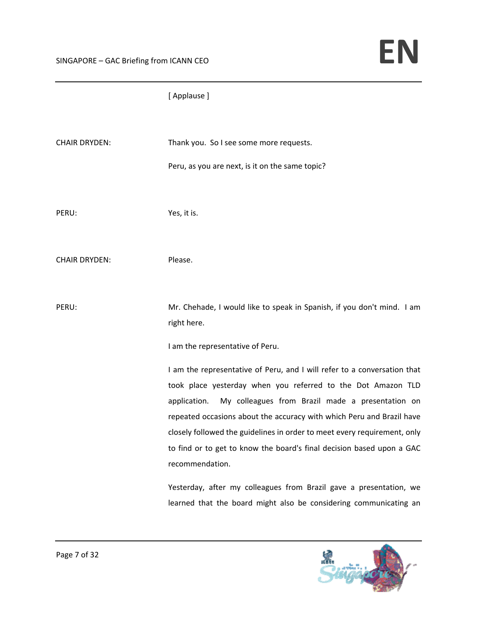## [ Applause ]

| <b>CHAIR DRYDEN:</b> | Thank you. So I see some more requests.<br>Peru, as you are next, is it on the same topic?                                                                                                                                                                                                                                                                                                                                                                                                                                                                                                               |
|----------------------|----------------------------------------------------------------------------------------------------------------------------------------------------------------------------------------------------------------------------------------------------------------------------------------------------------------------------------------------------------------------------------------------------------------------------------------------------------------------------------------------------------------------------------------------------------------------------------------------------------|
| PERU:                | Yes, it is.                                                                                                                                                                                                                                                                                                                                                                                                                                                                                                                                                                                              |
| <b>CHAIR DRYDEN:</b> | Please.                                                                                                                                                                                                                                                                                                                                                                                                                                                                                                                                                                                                  |
| PERU:                | Mr. Chehade, I would like to speak in Spanish, if you don't mind. I am<br>right here.<br>I am the representative of Peru.                                                                                                                                                                                                                                                                                                                                                                                                                                                                                |
|                      | I am the representative of Peru, and I will refer to a conversation that<br>took place yesterday when you referred to the Dot Amazon TLD<br>My colleagues from Brazil made a presentation on<br>application.<br>repeated occasions about the accuracy with which Peru and Brazil have<br>closely followed the guidelines in order to meet every requirement, only<br>to find or to get to know the board's final decision based upon a GAC<br>recommendation.<br>Yesterday, after my colleagues from Brazil gave a presentation, we<br>learned that the board might also be considering communicating an |

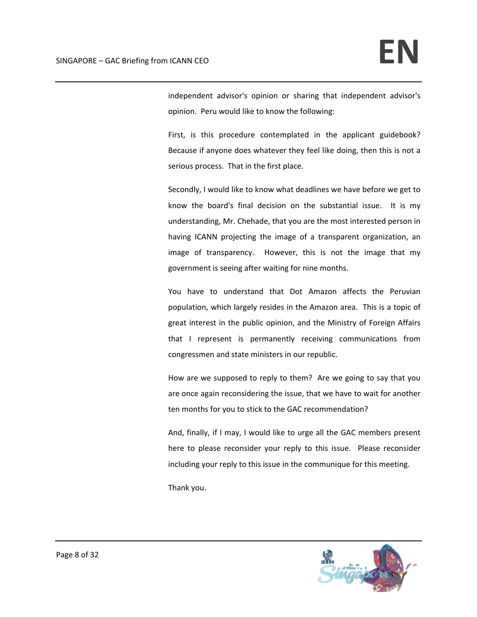independent advisor's opinion or sharing that independent advisor's opinion. Peru would like to know the following:

First, is this procedure contemplated in the applicant guidebook? Because if anyone does whatever they feel like doing, then this is not a serious process. That in the first place.

Secondly, I would like to know what deadlines we have before we get to know the board's final decision on the substantial issue. It is my understanding, Mr. Chehade, that you are the most interested person in having ICANN projecting the image of a transparent organization, an image of transparency. However, this is not the image that my government is seeing after waiting for nine months.

You have to understand that Dot Amazon affects the Peruvian population, which largely resides in the Amazon area. This is a topic of great interest in the public opinion, and the Ministry of Foreign Affairs that I represent is permanently receiving communications from congressmen and state ministers in our republic.

How are we supposed to reply to them? Are we going to say that you are once again reconsidering the issue, that we have to wait for another ten months for you to stick to the GAC recommendation?

And, finally, if I may, I would like to urge all the GAC members present here to please reconsider your reply to this issue. Please reconsider including your reply to this issue in the communique for this meeting.

Thank you.

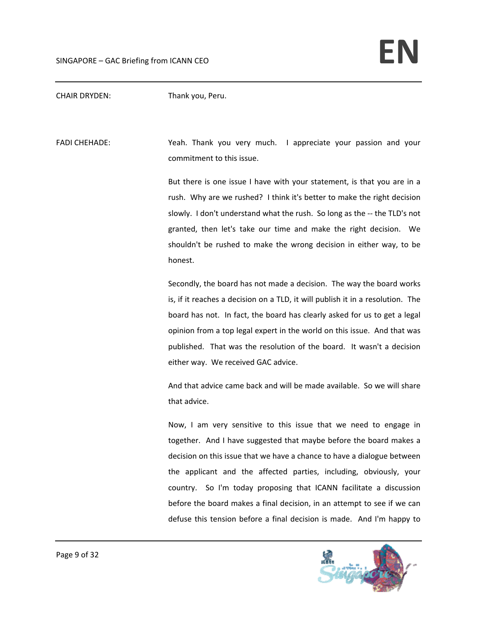CHAIR DRYDEN: Thank you, Peru.

FADI CHEHADE: Yeah. Thank you very much. I appreciate your passion and your commitment to this issue.

> But there is one issue I have with your statement, is that you are in a rush. Why are we rushed? I think it's better to make the right decision slowly. I don't understand what the rush. So long as the ‐‐ the TLD's not granted, then let's take our time and make the right decision. We shouldn't be rushed to make the wrong decision in either way, to be honest.

> Secondly, the board has not made a decision. The way the board works is, if it reaches a decision on a TLD, it will publish it in a resolution. The board has not. In fact, the board has clearly asked for us to get a legal opinion from a top legal expert in the world on this issue. And that was published. That was the resolution of the board. It wasn't a decision either way. We received GAC advice.

> And that advice came back and will be made available. So we will share that advice.

> Now, I am very sensitive to this issue that we need to engage in together. And I have suggested that maybe before the board makes a decision on this issue that we have a chance to have a dialogue between the applicant and the affected parties, including, obviously, your country. So I'm today proposing that ICANN facilitate a discussion before the board makes a final decision, in an attempt to see if we can defuse this tension before a final decision is made. And I'm happy to

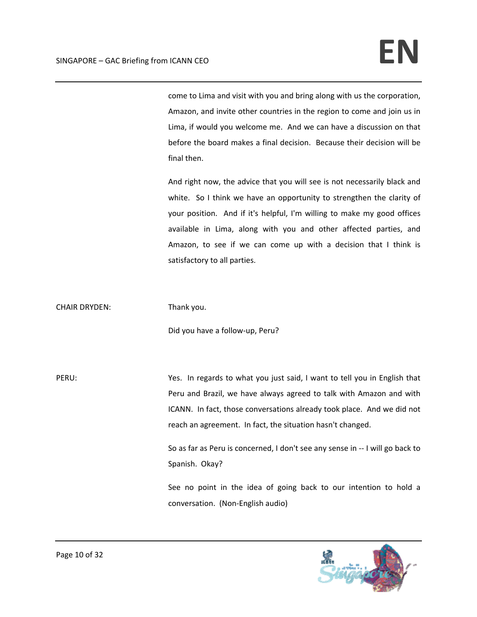come to Lima and visit with you and bring along with us the corporation, Amazon, and invite other countries in the region to come and join us in Lima, if would you welcome me. And we can have a discussion on that before the board makes a final decision. Because their decision will be final then.

And right now, the advice that you will see is not necessarily black and white. So I think we have an opportunity to strengthen the clarity of your position. And if it's helpful, I'm willing to make my good offices available in Lima, along with you and other affected parties, and Amazon, to see if we can come up with a decision that I think is satisfactory to all parties.

CHAIR DRYDEN: Thank you.

Did you have a follow‐up, Peru?

PERU: Yes. In regards to what you just said, I want to tell you in English that Peru and Brazil, we have always agreed to talk with Amazon and with ICANN. In fact, those conversations already took place. And we did not reach an agreement. In fact, the situation hasn't changed.

> So as far as Peru is concerned, I don't see any sense in ‐‐ I will go back to Spanish. Okay?

> See no point in the idea of going back to our intention to hold a conversation. (Non‐English audio)

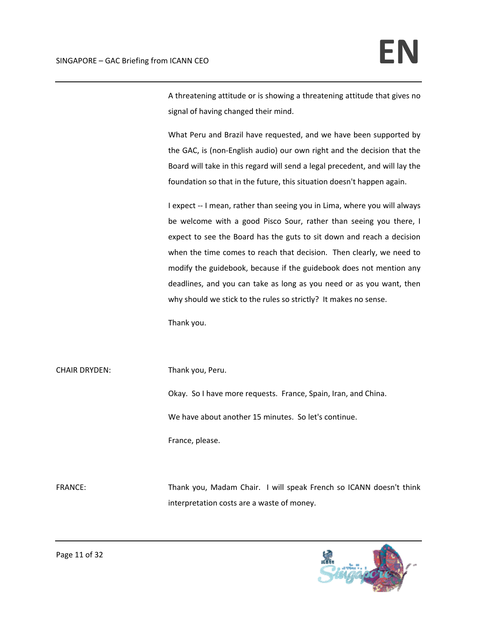A threatening attitude or is showing a threatening attitude that gives no signal of having changed their mind.

What Peru and Brazil have requested, and we have been supported by the GAC, is (non‐English audio) our own right and the decision that the Board will take in this regard will send a legal precedent, and will lay the foundation so that in the future, this situation doesn't happen again.

I expect ‐‐ I mean, rather than seeing you in Lima, where you will always be welcome with a good Pisco Sour, rather than seeing you there, I expect to see the Board has the guts to sit down and reach a decision when the time comes to reach that decision. Then clearly, we need to modify the guidebook, because if the guidebook does not mention any deadlines, and you can take as long as you need or as you want, then why should we stick to the rules so strictly? It makes no sense.

Thank you.

CHAIR DRYDEN: Thank you, Peru. Okay. So I have more requests. France, Spain, Iran, and China. We have about another 15 minutes. So let's continue. France, please.

FRANCE: Thank you, Madam Chair. I will speak French so ICANN doesn't think interpretation costs are a waste of money.

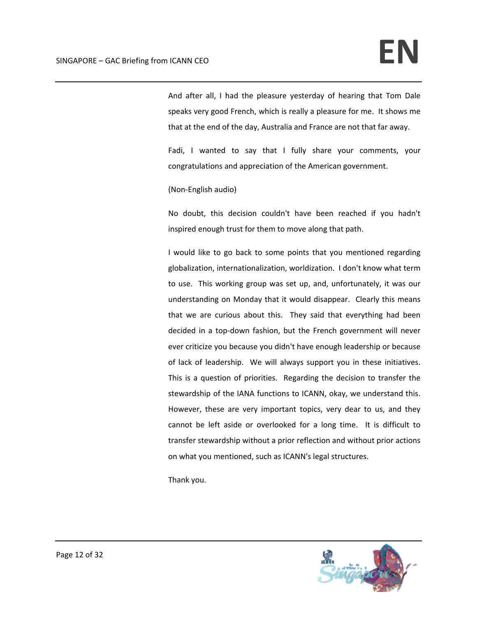And after all, I had the pleasure yesterday of hearing that Tom Dale speaks very good French, which is really a pleasure for me. It shows me that at the end of the day, Australia and France are not that far away.

Fadi, I wanted to say that I fully share your comments, your congratulations and appreciation of the American government.

(Non‐English audio)

No doubt, this decision couldn't have been reached if you hadn't inspired enough trust for them to move along that path.

I would like to go back to some points that you mentioned regarding globalization, internationalization, worldization. I don't know what term to use. This working group was set up, and, unfortunately, it was our understanding on Monday that it would disappear. Clearly this means that we are curious about this. They said that everything had been decided in a top‐down fashion, but the French government will never ever criticize you because you didn't have enough leadership or because of lack of leadership. We will always support you in these initiatives. This is a question of priorities. Regarding the decision to transfer the stewardship of the IANA functions to ICANN, okay, we understand this. However, these are very important topics, very dear to us, and they cannot be left aside or overlooked for a long time. It is difficult to transfer stewardship without a prior reflection and without prior actions on what you mentioned, such as ICANN's legal structures.

Thank you.

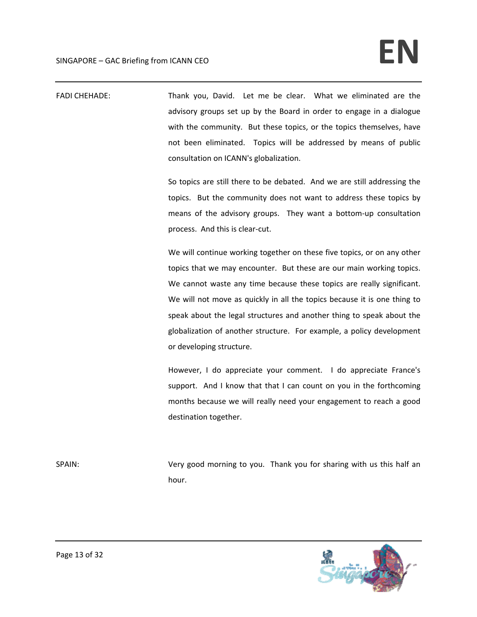FADI CHEHADE: Thank you, David. Let me be clear. What we eliminated are the advisory groups set up by the Board in order to engage in a dialogue with the community. But these topics, or the topics themselves, have not been eliminated. Topics will be addressed by means of public consultation on ICANN's globalization.

> So topics are still there to be debated. And we are still addressing the topics. But the community does not want to address these topics by means of the advisory groups. They want a bottom-up consultation process. And this is clear‐cut.

> We will continue working together on these five topics, or on any other topics that we may encounter. But these are our main working topics. We cannot waste any time because these topics are really significant. We will not move as quickly in all the topics because it is one thing to speak about the legal structures and another thing to speak about the globalization of another structure. For example, a policy development or developing structure.

> However, I do appreciate your comment. I do appreciate France's support. And I know that that I can count on you in the forthcoming months because we will really need your engagement to reach a good destination together.

SPAIN: SPAIN: Very good morning to you. Thank you for sharing with us this half an hour.

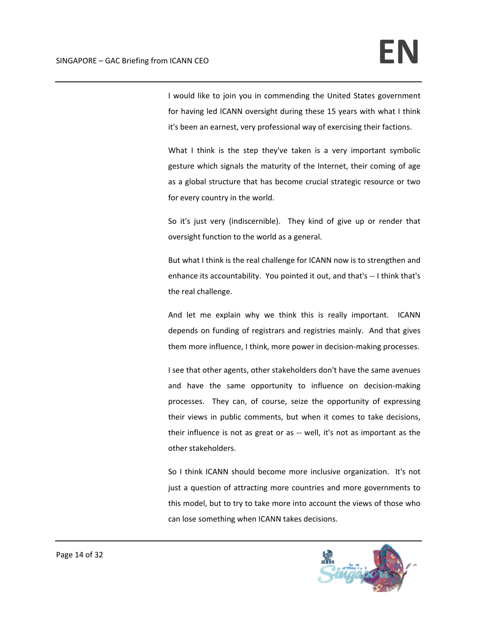I would like to join you in commending the United States government for having led ICANN oversight during these 15 years with what I think it's been an earnest, very professional way of exercising their factions.

What I think is the step they've taken is a very important symbolic gesture which signals the maturity of the Internet, their coming of age as a global structure that has become crucial strategic resource or two for every country in the world.

So it's just very (indiscernible). They kind of give up or render that oversight function to the world as a general.

But what I think is the real challenge for ICANN now is to strengthen and enhance its accountability. You pointed it out, and that's ‐‐ I think that's the real challenge.

And let me explain why we think this is really important. ICANN depends on funding of registrars and registries mainly. And that gives them more influence, I think, more power in decision‐making processes.

I see that other agents, other stakeholders don't have the same avenues and have the same opportunity to influence on decision-making processes. They can, of course, seize the opportunity of expressing their views in public comments, but when it comes to take decisions, their influence is not as great or as ‐‐ well, it's not as important as the other stakeholders.

So I think ICANN should become more inclusive organization. It's not just a question of attracting more countries and more governments to this model, but to try to take more into account the views of those who can lose something when ICANN takes decisions.

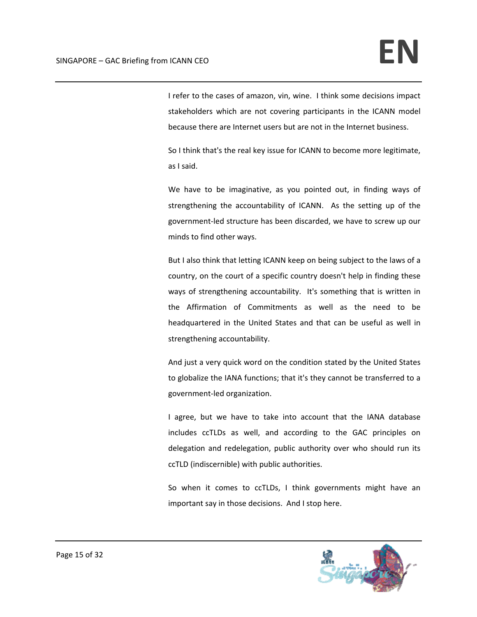I refer to the cases of amazon, vin, wine. I think some decisions impact stakeholders which are not covering participants in the ICANN model because there are Internet users but are not in the Internet business.

So I think that's the real key issue for ICANN to become more legitimate, as I said.

We have to be imaginative, as you pointed out, in finding ways of strengthening the accountability of ICANN. As the setting up of the government‐led structure has been discarded, we have to screw up our minds to find other ways.

But I also think that letting ICANN keep on being subject to the laws of a country, on the court of a specific country doesn't help in finding these ways of strengthening accountability. It's something that is written in the Affirmation of Commitments as well as the need to be headquartered in the United States and that can be useful as well in strengthening accountability.

And just a very quick word on the condition stated by the United States to globalize the IANA functions; that it's they cannot be transferred to a government‐led organization.

I agree, but we have to take into account that the IANA database includes ccTLDs as well, and according to the GAC principles on delegation and redelegation, public authority over who should run its ccTLD (indiscernible) with public authorities.

So when it comes to ccTLDs, I think governments might have an important say in those decisions. And I stop here.

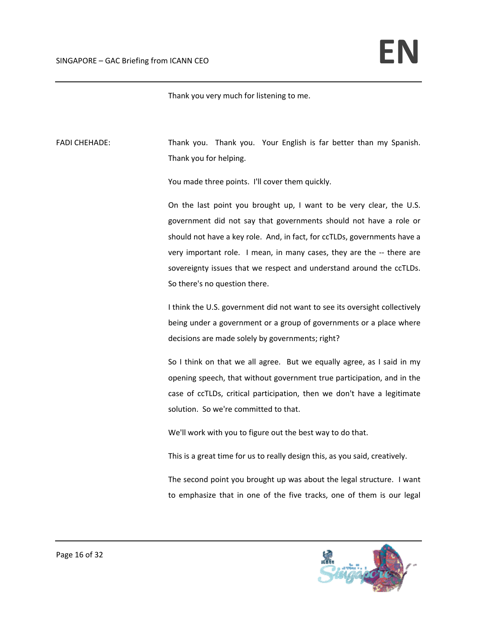Thank you very much for listening to me.

FADI CHEHADE: Thank you. Thank you. Your English is far better than my Spanish. Thank you for helping.

You made three points. I'll cover them quickly.

On the last point you brought up, I want to be very clear, the U.S. government did not say that governments should not have a role or should not have a key role. And, in fact, for ccTLDs, governments have a very important role. I mean, in many cases, they are the -- there are sovereignty issues that we respect and understand around the ccTLDs. So there's no question there.

I think the U.S. government did not want to see its oversight collectively being under a government or a group of governments or a place where decisions are made solely by governments; right?

So I think on that we all agree. But we equally agree, as I said in my opening speech, that without government true participation, and in the case of ccTLDs, critical participation, then we don't have a legitimate solution. So we're committed to that.

We'll work with you to figure out the best way to do that.

This is a great time for us to really design this, as you said, creatively.

The second point you brought up was about the legal structure. I want to emphasize that in one of the five tracks, one of them is our legal

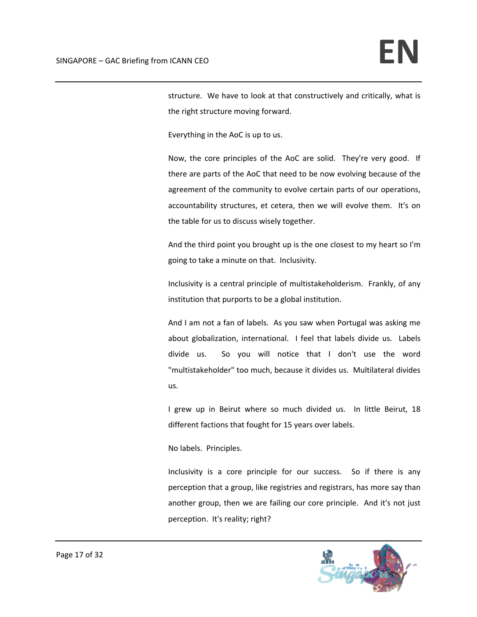structure. We have to look at that constructively and critically, what is the right structure moving forward.

Everything in the AoC is up to us.

Now, the core principles of the AoC are solid. They're very good. If there are parts of the AoC that need to be now evolving because of the agreement of the community to evolve certain parts of our operations, accountability structures, et cetera, then we will evolve them. It's on the table for us to discuss wisely together.

And the third point you brought up is the one closest to my heart so I'm going to take a minute on that. Inclusivity.

Inclusivity is a central principle of multistakeholderism. Frankly, of any institution that purports to be a global institution.

And I am not a fan of labels. As you saw when Portugal was asking me about globalization, international. I feel that labels divide us. Labels divide us. So you will notice that I don't use the word "multistakeholder" too much, because it divides us. Multilateral divides us.

I grew up in Beirut where so much divided us. In little Beirut, 18 different factions that fought for 15 years over labels.

No labels. Principles.

Inclusivity is a core principle for our success. So if there is any perception that a group, like registries and registrars, has more say than another group, then we are failing our core principle. And it's not just perception. It's reality; right?

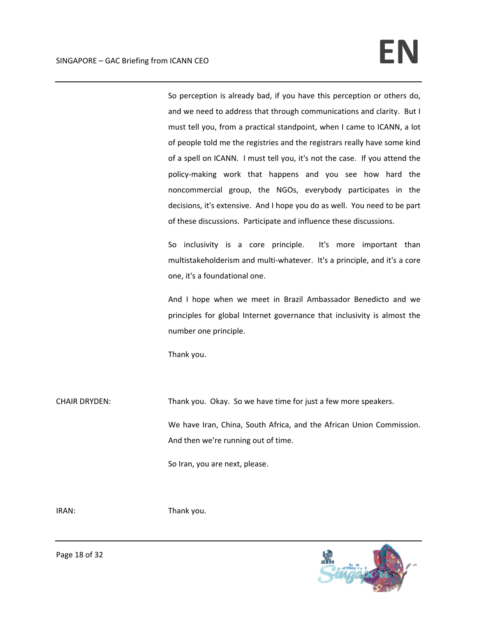So perception is already bad, if you have this perception or others do, and we need to address that through communications and clarity. But I must tell you, from a practical standpoint, when I came to ICANN, a lot of people told me the registries and the registrars really have some kind of a spell on ICANN. I must tell you, it's not the case. If you attend the policy‐making work that happens and you see how hard the noncommercial group, the NGOs, everybody participates in the decisions, it's extensive. And I hope you do as well. You need to be part of these discussions. Participate and influence these discussions.

So inclusivity is a core principle. It's more important than multistakeholderism and multi‐whatever. It's a principle, and it's a core one, it's a foundational one.

And I hope when we meet in Brazil Ambassador Benedicto and we principles for global Internet governance that inclusivity is almost the number one principle.

Thank you.

CHAIR DRYDEN: Thank you. Okay. So we have time for just a few more speakers.

We have Iran, China, South Africa, and the African Union Commission. And then we're running out of time.

So Iran, you are next, please.

IRAN: Thank you.

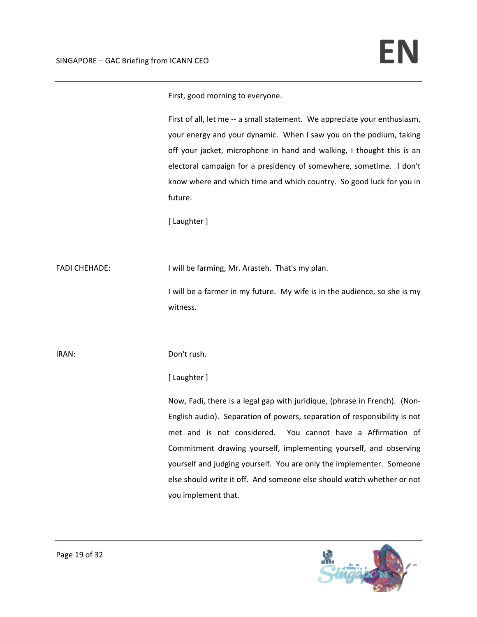First, good morning to everyone.

First of all, let me -- a small statement. We appreciate your enthusiasm, your energy and your dynamic. When I saw you on the podium, taking off your jacket, microphone in hand and walking, I thought this is an electoral campaign for a presidency of somewhere, sometime. I don't know where and which time and which country. So good luck for you in future.

[ Laughter ]

FADI CHEHADE: I will be farming, Mr. Arasteh. That's my plan.

I will be a farmer in my future. My wife is in the audience, so she is my witness.

IRAN: Don't rush.

## [ Laughter ]

Now, Fadi, there is a legal gap with juridique, (phrase in French). (Non‐ English audio). Separation of powers, separation of responsibility is not met and is not considered. You cannot have a Affirmation of Commitment drawing yourself, implementing yourself, and observing yourself and judging yourself. You are only the implementer. Someone else should write it off. And someone else should watch whether or not you implement that.

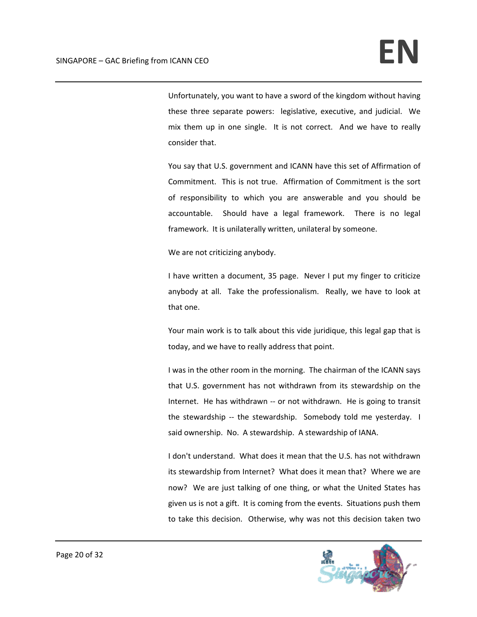Unfortunately, you want to have a sword of the kingdom without having these three separate powers: legislative, executive, and judicial. We mix them up in one single. It is not correct. And we have to really consider that.

You say that U.S. government and ICANN have this set of Affirmation of Commitment. This is not true. Affirmation of Commitment is the sort of responsibility to which you are answerable and you should be accountable. Should have a legal framework. There is no legal framework. It is unilaterally written, unilateral by someone.

We are not criticizing anybody.

I have written a document, 35 page. Never I put my finger to criticize anybody at all. Take the professionalism. Really, we have to look at that one.

Your main work is to talk about this vide juridique, this legal gap that is today, and we have to really address that point.

I was in the other room in the morning. The chairman of the ICANN says that U.S. government has not withdrawn from its stewardship on the Internet. He has withdrawn ‐‐ or not withdrawn. He is going to transit the stewardship -- the stewardship. Somebody told me yesterday. I said ownership. No. A stewardship. A stewardship of IANA.

I don't understand. What does it mean that the U.S. has not withdrawn its stewardship from Internet? What does it mean that? Where we are now? We are just talking of one thing, or what the United States has given us is not a gift. It is coming from the events. Situations push them to take this decision. Otherwise, why was not this decision taken two

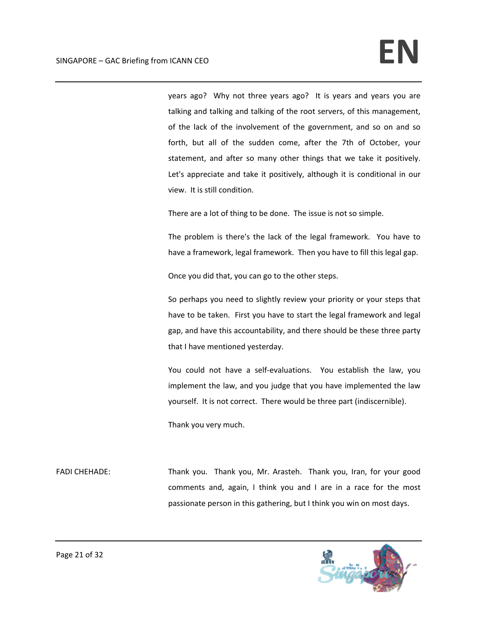years ago? Why not three years ago? It is years and years you are talking and talking and talking of the root servers, of this management, of the lack of the involvement of the government, and so on and so forth, but all of the sudden come, after the 7th of October, your statement, and after so many other things that we take it positively. Let's appreciate and take it positively, although it is conditional in our view. It is still condition.

There are a lot of thing to be done. The issue is not so simple.

The problem is there's the lack of the legal framework. You have to have a framework, legal framework. Then you have to fill this legal gap.

Once you did that, you can go to the other steps.

So perhaps you need to slightly review your priority or your steps that have to be taken. First you have to start the legal framework and legal gap, and have this accountability, and there should be these three party that I have mentioned yesterday.

You could not have a self-evaluations. You establish the law, you implement the law, and you judge that you have implemented the law yourself. It is not correct. There would be three part (indiscernible).

Thank you very much.

FADI CHEHADE: Thank you. Thank you, Mr. Arasteh. Thank you, Iran, for your good comments and, again, I think you and I are in a race for the most passionate person in this gathering, but I think you win on most days.

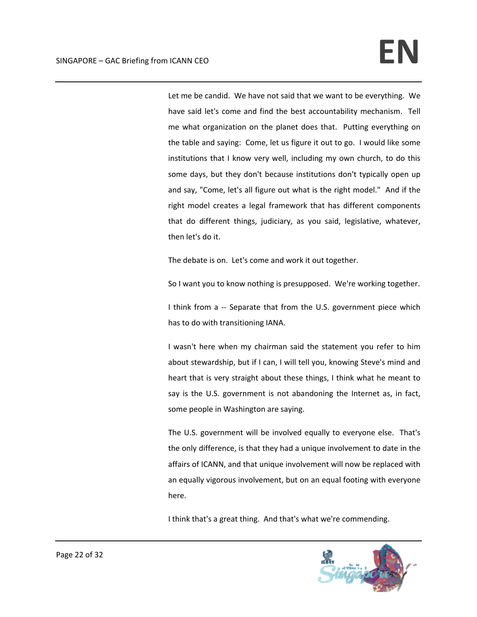Let me be candid. We have not said that we want to be everything. We have said let's come and find the best accountability mechanism. Tell me what organization on the planet does that. Putting everything on the table and saying: Come, let us figure it out to go. I would like some institutions that I know very well, including my own church, to do this some days, but they don't because institutions don't typically open up and say, "Come, let's all figure out what is the right model." And if the right model creates a legal framework that has different components that do different things, judiciary, as you said, legislative, whatever, then let's do it.

The debate is on. Let's come and work it out together.

So I want you to know nothing is presupposed. We're working together.

I think from a -- Separate that from the U.S. government piece which has to do with transitioning IANA.

I wasn't here when my chairman said the statement you refer to him about stewardship, but if I can, I will tell you, knowing Steve's mind and heart that is very straight about these things, I think what he meant to say is the U.S. government is not abandoning the Internet as, in fact, some people in Washington are saying.

The U.S. government will be involved equally to everyone else. That's the only difference, is that they had a unique involvement to date in the affairs of ICANN, and that unique involvement will now be replaced with an equally vigorous involvement, but on an equal footing with everyone here.

I think that's a great thing. And that's what we're commending.

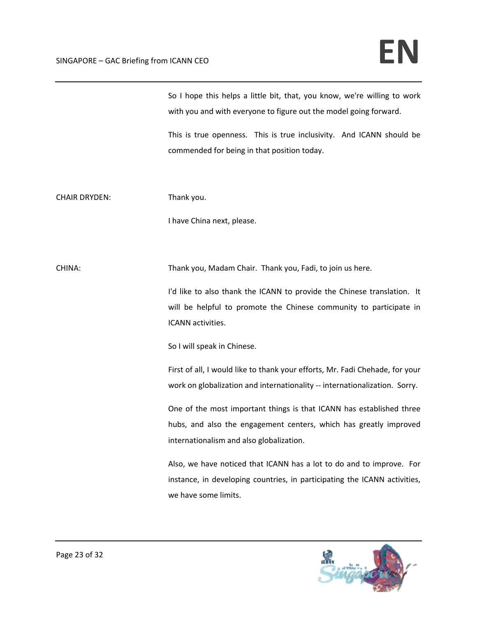| So I hope this helps a little bit, that, you know, we're willing to work |
|--------------------------------------------------------------------------|
| with you and with everyone to figure out the model going forward.        |

This is true openness. This is true inclusivity. And ICANN should be commended for being in that position today.

CHAIR DRYDEN: Thank you.

I have China next, please.

CHINA: Thank you, Madam Chair. Thank you, Fadi, to join us here.

I'd like to also thank the ICANN to provide the Chinese translation. It will be helpful to promote the Chinese community to participate in ICANN activities.

So I will speak in Chinese.

First of all, I would like to thank your efforts, Mr. Fadi Chehade, for your work on globalization and internationality -- internationalization. Sorry.

One of the most important things is that ICANN has established three hubs, and also the engagement centers, which has greatly improved internationalism and also globalization.

Also, we have noticed that ICANN has a lot to do and to improve. For instance, in developing countries, in participating the ICANN activities, we have some limits.

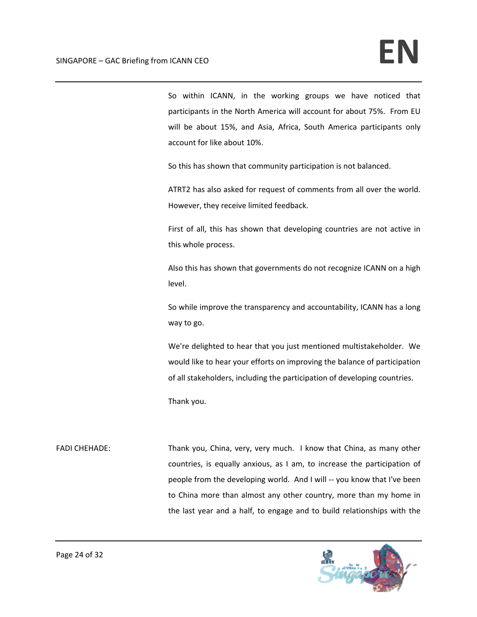So within ICANN, in the working groups we have noticed that participants in the North America will account for about 75%. From EU will be about 15%, and Asia, Africa, South America participants only account for like about 10%.

So this has shown that community participation is not balanced.

ATRT2 has also asked for request of comments from all over the world. However, they receive limited feedback.

First of all, this has shown that developing countries are not active in this whole process.

Also this has shown that governments do not recognize ICANN on a high level.

So while improve the transparency and accountability, ICANN has a long way to go.

We're delighted to hear that you just mentioned multistakeholder. We would like to hear your efforts on improving the balance of participation of all stakeholders, including the participation of developing countries.

Thank you.

FADI CHEHADE: Thank you, China, very, very much. I know that China, as many other countries, is equally anxious, as I am, to increase the participation of people from the developing world. And I will ‐‐ you know that I've been to China more than almost any other country, more than my home in the last year and a half, to engage and to build relationships with the

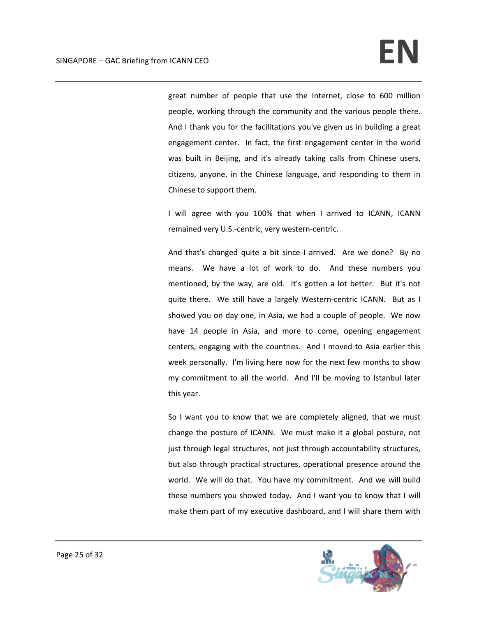great number of people that use the Internet, close to 600 million people, working through the community and the various people there. And I thank you for the facilitations you've given us in building a great engagement center. In fact, the first engagement center in the world was built in Beijing, and it's already taking calls from Chinese users, citizens, anyone, in the Chinese language, and responding to them in Chinese to support them.

I will agree with you 100% that when I arrived to ICANN, ICANN remained very U.S.‐centric, very western‐centric.

And that's changed quite a bit since I arrived. Are we done? By no means. We have a lot of work to do. And these numbers you mentioned, by the way, are old. It's gotten a lot better. But it's not quite there. We still have a largely Western-centric ICANN. But as I showed you on day one, in Asia, we had a couple of people. We now have 14 people in Asia, and more to come, opening engagement centers, engaging with the countries. And I moved to Asia earlier this week personally. I'm living here now for the next few months to show my commitment to all the world. And I'll be moving to Istanbul later this year.

So I want you to know that we are completely aligned, that we must change the posture of ICANN. We must make it a global posture, not just through legal structures, not just through accountability structures, but also through practical structures, operational presence around the world. We will do that. You have my commitment. And we will build these numbers you showed today. And I want you to know that I will make them part of my executive dashboard, and I will share them with

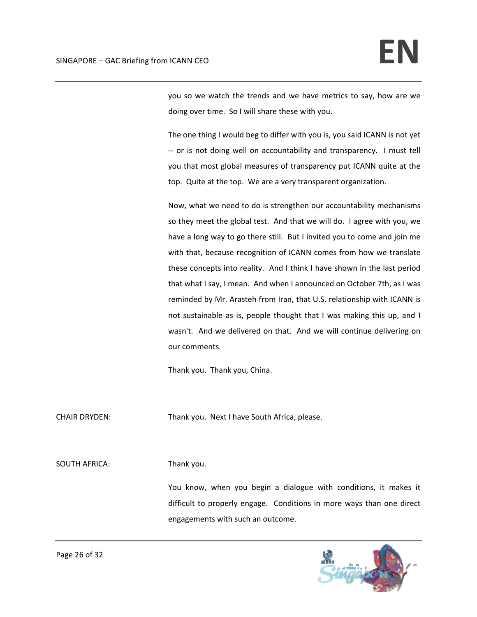you so we watch the trends and we have metrics to say, how are we doing over time. So I will share these with you.

The one thing I would beg to differ with you is, you said ICANN is not yet ‐‐ or is not doing well on accountability and transparency. I must tell you that most global measures of transparency put ICANN quite at the top. Quite at the top. We are a very transparent organization.

Now, what we need to do is strengthen our accountability mechanisms so they meet the global test. And that we will do. I agree with you, we have a long way to go there still. But I invited you to come and join me with that, because recognition of ICANN comes from how we translate these concepts into reality. And I think I have shown in the last period that what I say, I mean. And when I announced on October 7th, as I was reminded by Mr. Arasteh from Iran, that U.S. relationship with ICANN is not sustainable as is, people thought that I was making this up, and I wasn't. And we delivered on that. And we will continue delivering on our comments.

Thank you. Thank you, China.

CHAIR DRYDEN: Thank you. Next I have South Africa, please.

SOUTH AFRICA: Thank you.

You know, when you begin a dialogue with conditions, it makes it difficult to properly engage. Conditions in more ways than one direct engagements with such an outcome.

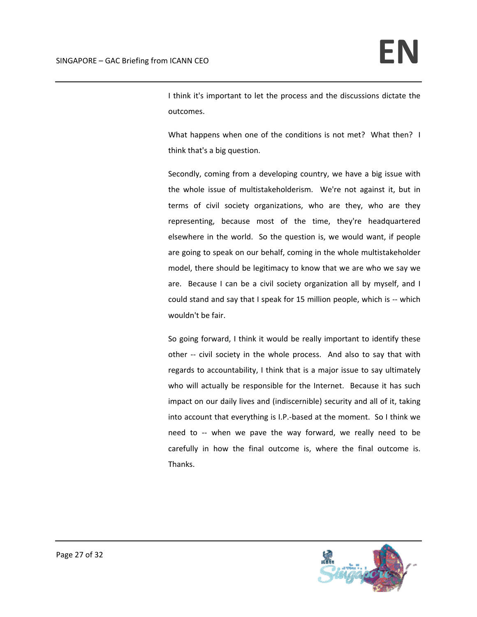I think it's important to let the process and the discussions dictate the outcomes.

What happens when one of the conditions is not met? What then? I think that's a big question.

Secondly, coming from a developing country, we have a big issue with the whole issue of multistakeholderism. We're not against it, but in terms of civil society organizations, who are they, who are they representing, because most of the time, they're headquartered elsewhere in the world. So the question is, we would want, if people are going to speak on our behalf, coming in the whole multistakeholder model, there should be legitimacy to know that we are who we say we are. Because I can be a civil society organization all by myself, and I could stand and say that I speak for 15 million people, which is ‐‐ which wouldn't be fair.

So going forward, I think it would be really important to identify these other -- civil society in the whole process. And also to say that with regards to accountability, I think that is a major issue to say ultimately who will actually be responsible for the Internet. Because it has such impact on our daily lives and (indiscernible) security and all of it, taking into account that everything is I.P.‐based at the moment. So I think we need to -- when we pave the way forward, we really need to be carefully in how the final outcome is, where the final outcome is. Thanks.

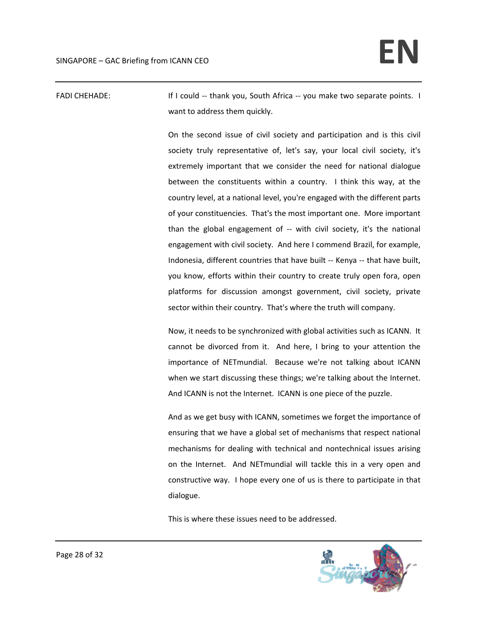FADI CHEHADE: **If I could -- thank you, South Africa -- you make two separate points.** I want to address them quickly.

> On the second issue of civil society and participation and is this civil society truly representative of, let's say, your local civil society, it's extremely important that we consider the need for national dialogue between the constituents within a country. I think this way, at the country level, at a national level, you're engaged with the different parts of your constituencies. That's the most important one. More important than the global engagement of ‐‐ with civil society, it's the national engagement with civil society. And here I commend Brazil, for example, Indonesia, different countries that have built ‐‐ Kenya ‐‐ that have built, you know, efforts within their country to create truly open fora, open platforms for discussion amongst government, civil society, private sector within their country. That's where the truth will company.

> Now, it needs to be synchronized with global activities such as ICANN. It cannot be divorced from it. And here, I bring to your attention the importance of NETmundial. Because we're not talking about ICANN when we start discussing these things; we're talking about the Internet. And ICANN is not the Internet. ICANN is one piece of the puzzle.

> And as we get busy with ICANN, sometimes we forget the importance of ensuring that we have a global set of mechanisms that respect national mechanisms for dealing with technical and nontechnical issues arising on the Internet. And NETmundial will tackle this in a very open and constructive way. I hope every one of us is there to participate in that dialogue.

This is where these issues need to be addressed.

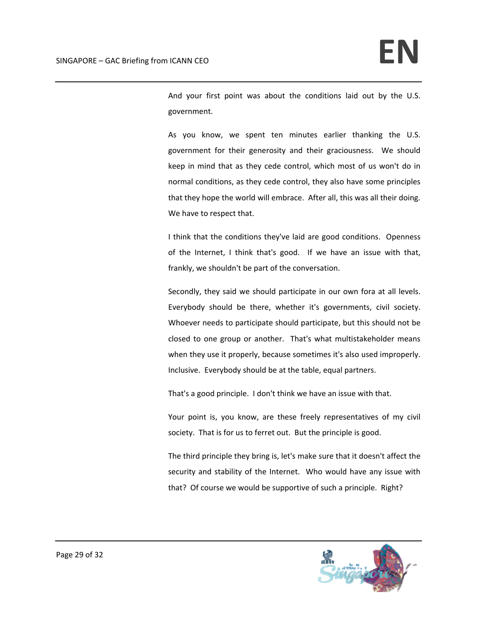And your first point was about the conditions laid out by the U.S. government.

As you know, we spent ten minutes earlier thanking the U.S. government for their generosity and their graciousness. We should keep in mind that as they cede control, which most of us won't do in normal conditions, as they cede control, they also have some principles that they hope the world will embrace. After all, this was all their doing. We have to respect that.

I think that the conditions they've laid are good conditions. Openness of the Internet, I think that's good. If we have an issue with that, frankly, we shouldn't be part of the conversation.

Secondly, they said we should participate in our own fora at all levels. Everybody should be there, whether it's governments, civil society. Whoever needs to participate should participate, but this should not be closed to one group or another. That's what multistakeholder means when they use it properly, because sometimes it's also used improperly. Inclusive. Everybody should be at the table, equal partners.

That's a good principle. I don't think we have an issue with that.

Your point is, you know, are these freely representatives of my civil society. That is for us to ferret out. But the principle is good.

The third principle they bring is, let's make sure that it doesn't affect the security and stability of the Internet. Who would have any issue with that? Of course we would be supportive of such a principle. Right?

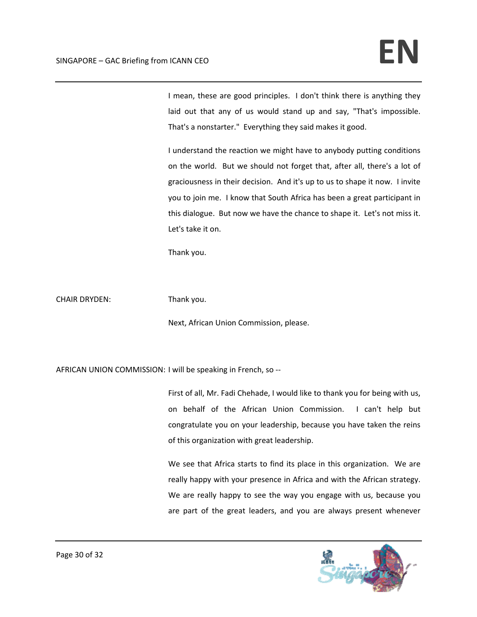I mean, these are good principles. I don't think there is anything they laid out that any of us would stand up and say, "That's impossible. That's a nonstarter." Everything they said makes it good.

I understand the reaction we might have to anybody putting conditions on the world. But we should not forget that, after all, there's a lot of graciousness in their decision. And it's up to us to shape it now. I invite you to join me. I know that South Africa has been a great participant in this dialogue. But now we have the chance to shape it. Let's not miss it. Let's take it on.

Thank you.

CHAIR DRYDEN: Thank you.

Next, African Union Commission, please.

AFRICAN UNION COMMISSION: I will be speaking in French, so ‐‐

First of all, Mr. Fadi Chehade, I would like to thank you for being with us, on behalf of the African Union Commission. I can't help but congratulate you on your leadership, because you have taken the reins of this organization with great leadership.

We see that Africa starts to find its place in this organization. We are really happy with your presence in Africa and with the African strategy. We are really happy to see the way you engage with us, because you are part of the great leaders, and you are always present whenever

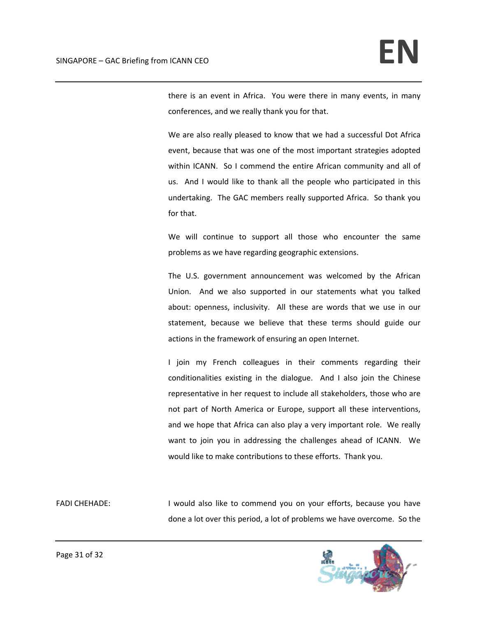there is an event in Africa. You were there in many events, in many conferences, and we really thank you for that.

We are also really pleased to know that we had a successful Dot Africa event, because that was one of the most important strategies adopted within ICANN. So I commend the entire African community and all of us. And I would like to thank all the people who participated in this undertaking. The GAC members really supported Africa. So thank you for that.

We will continue to support all those who encounter the same problems as we have regarding geographic extensions.

The U.S. government announcement was welcomed by the African Union. And we also supported in our statements what you talked about: openness, inclusivity. All these are words that we use in our statement, because we believe that these terms should guide our actions in the framework of ensuring an open Internet.

I join my French colleagues in their comments regarding their conditionalities existing in the dialogue. And I also join the Chinese representative in her request to include all stakeholders, those who are not part of North America or Europe, support all these interventions, and we hope that Africa can also play a very important role. We really want to join you in addressing the challenges ahead of ICANN. We would like to make contributions to these efforts. Thank you.

FADI CHEHADE: **I** would also like to commend you on your efforts, because you have done a lot over this period, a lot of problems we have overcome. So the